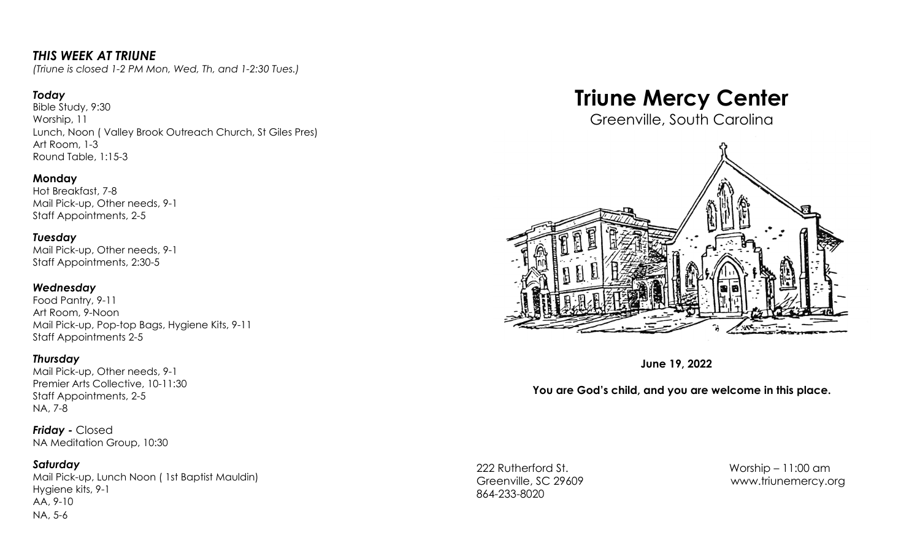## *THIS WEEK AT TRIUNE*

*(Triune is closed 1-2 PM Mon, Wed, Th, and 1-2:30 Tues.)*

#### *Today*

Bible Study, 9:30 Worship, 11 Lunch, Noon ( Valley Brook Outreach Church, St Giles Pres) Art Room, 1-3 Round Table, 1:15-3

#### **Monday**

Hot Breakfast, 7-8 Mail Pick-up, Other needs, 9-1 Staff Appointments, 2-5

# *Tuesday*

Mail Pick-up, Other needs, 9-1 Staff Appointments, 2:30-5

#### *Wednesday*

Food Pantry, 9-11 Art Room, 9-Noon Mail Pick-up, Pop-top Bags, Hygiene Kits, 9-11 Staff Appointments 2-5

#### *Thursday*

Mail Pick-up, Other needs, 9-1 Premier Arts Collective, 10-11:30 Staff Appointments, 2-5 NA, 7-8

*Friday -* Closed NA Meditation Group, 10:30

#### *Saturday*

Mail Pick-up, Lunch Noon ( 1st Baptist Mauldin) Hygiene kits, 9-1 AA, 9-10 NA, 5-6

# **Triune Mercy Center**

Greenville, South Carolina



**June 19, 2022**

### **You are God's child, and you are welcome in this place.**

222 Rutherford St. Worship – 11:00 am 864-233-8020

Greenville, SC 29609 [www.triunemercy.org](http://www.triunemercy.org)